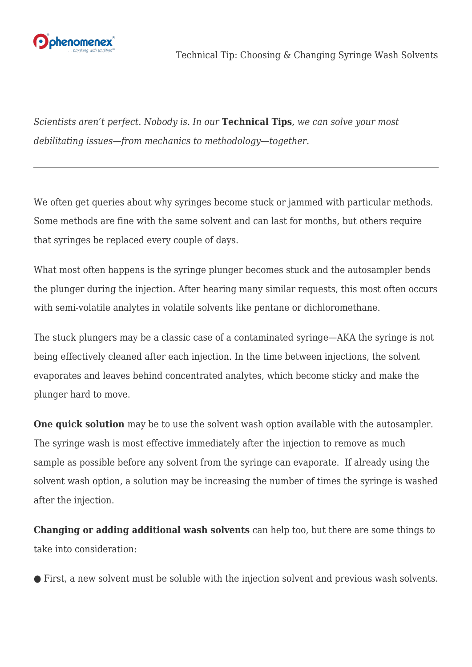

*Scientists aren't perfect. Nobody is. In our* **Technical Tips***, we can solve your most debilitating issues—from mechanics to methodology—together.*

We often get queries about why syringes become stuck or jammed with particular methods. Some methods are fine with the same solvent and can last for months, but others require that syringes be replaced every couple of days.

What most often happens is the syringe plunger becomes stuck and the autosampler bends the plunger during the injection. After hearing many similar requests, this most often occurs with semi-volatile analytes in volatile solvents like pentane or dichloromethane.

The stuck plungers may be a classic case of a contaminated syringe—AKA the syringe is not being effectively cleaned after each injection. In the time between injections, the solvent evaporates and leaves behind concentrated analytes, which become sticky and make the plunger hard to move.

**One quick solution** may be to use the solvent wash option available with the autosampler. The syringe wash is most effective immediately after the injection to remove as much sample as possible before any solvent from the syringe can evaporate. If already using the solvent wash option, a solution may be increasing the number of times the syringe is washed after the injection.

**Changing or adding additional wash solvents** can help too, but there are some things to take into consideration:

● First, a new solvent must be soluble with the injection solvent and previous wash solvents.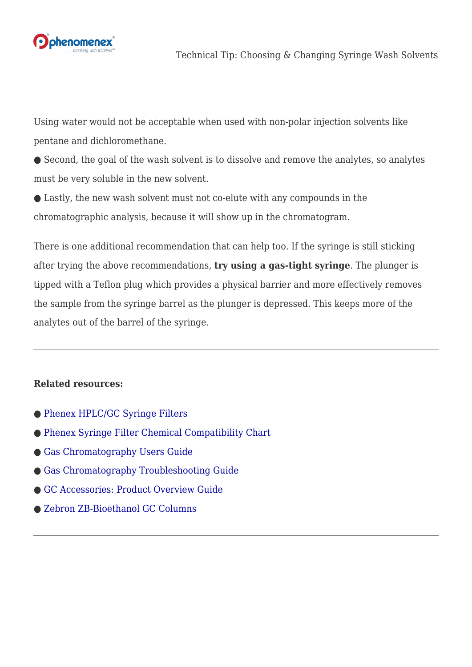

Using water would not be acceptable when used with non-polar injection solvents like pentane and dichloromethane.

● Second, the goal of the wash solvent is to dissolve and remove the analytes, so analytes must be very soluble in the new solvent.

● Lastly, the new wash solvent must not co-elute with any compounds in the chromatographic analysis, because it will show up in the chromatogram.

There is one additional recommendation that can help too. If the syringe is still sticking after trying the above recommendations, **try using a gas-tight syringe**. The plunger is tipped with a Teflon plug which provides a physical barrier and more effectively removes the sample from the syringe barrel as the plunger is depressed. This keeps more of the analytes out of the barrel of the syringe.

## **Related resources:**

- ● [Phenex HPLC/GC Syringe Filters](https://www.phenomenex.com/ViewDocument?id=phenex+syringe+filters)
- ● [Phenex Syringe Filter Chemical Compatibility Chart](https://www.phenomenex.com/ViewDocument?id=phenex+chemical+compatibility+chart)
- ● [Gas Chromatography Users Guide](https://phenomenex.blob.core.windows.net/documents/be543124-b2c4-48fc-a1be-ba64ef0fe306.pdf)
- ● [Gas Chromatography Troubleshooting Guide](https://phenomenex.blob.core.windows.net/documents/092a9002-9f70-4f5e-8eba-06990af283b1.pdf)
- ● [GC Accessories: Product Overview Guide](https://www.phenomenex.com/ViewDocument?id=gc+accessories+brochure)
- ● [Zebron ZB-Bioethanol GC Columns](https://www.phenomenex.com/ViewDocument?id=zb-bioethanol)